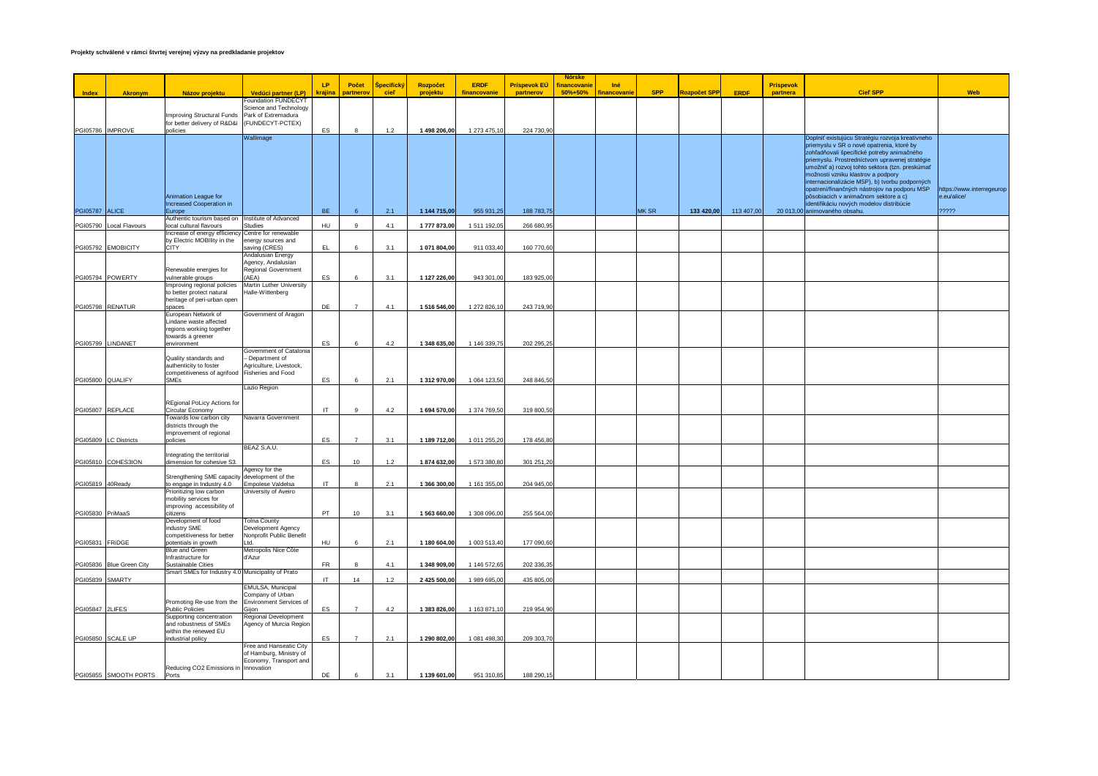|                       |                          |                                                                                   |                                                   |                        |                |            |              |              |                     | <b>Nórske</b> |                    |            |                     |             |           |                                                                                         |                                          |
|-----------------------|--------------------------|-----------------------------------------------------------------------------------|---------------------------------------------------|------------------------|----------------|------------|--------------|--------------|---------------------|---------------|--------------------|------------|---------------------|-------------|-----------|-----------------------------------------------------------------------------------------|------------------------------------------|
|                       |                          |                                                                                   |                                                   | 1P                     | Počet          | Špecifický | Rozpočet     | <b>ERDF</b>  | <b>Príspevok EÚ</b> | inancovani    | Iné                |            |                     |             | Príspevok |                                                                                         |                                          |
| <b>Index</b>          | <b>Akronym</b>           | Názov projektu                                                                    | Vedúci partner (LP)                               | krajina                | partnerov      | cieľ       | projektu     | financovanie | partnerov           | 50%+50%       | <u>inancovanie</u> | <b>SPP</b> | <b>Rozpočet SPP</b> | <b>ERDF</b> | partnera  | <b>Cieľ SPP</b>                                                                         | <b>Web</b>                               |
|                       |                          |                                                                                   | Foundation FUNDECYT                               |                        |                |            |              |              |                     |               |                    |            |                     |             |           |                                                                                         |                                          |
|                       |                          | Improving Structural Funds                                                        | Science and Technology<br>Park of Extremadura     |                        |                |            |              |              |                     |               |                    |            |                     |             |           |                                                                                         |                                          |
|                       |                          | for better delivery of R&D&i                                                      | (FUNDECYT-PCTEX)                                  |                        |                |            |              |              |                     |               |                    |            |                     |             |           |                                                                                         |                                          |
|                       | PGI05786 IMPROVE         | policies                                                                          |                                                   | ES                     | 8              | $1.2$      | 1 498 206,00 | 1 273 475,10 | 224 730,90          |               |                    |            |                     |             |           |                                                                                         |                                          |
|                       |                          |                                                                                   | Wallimage                                         |                        |                |            |              |              |                     |               |                    |            |                     |             |           | Doplniť existujúcu Stratégiu rozvoja kreatívneho                                        |                                          |
|                       |                          |                                                                                   |                                                   |                        |                |            |              |              |                     |               |                    |            |                     |             |           | priemyslu v SR o nové opatrenia, ktoré by<br>zohľadňovali špecifické potreby animačného |                                          |
|                       |                          |                                                                                   |                                                   |                        |                |            |              |              |                     |               |                    |            |                     |             |           | priemyslu. Prostredníctvom upravenej stratégie                                          |                                          |
|                       |                          |                                                                                   |                                                   |                        |                |            |              |              |                     |               |                    |            |                     |             |           | umožniť a) rozvoj tohto sektora (tzn. preskúmať                                         |                                          |
|                       |                          |                                                                                   |                                                   |                        |                |            |              |              |                     |               |                    |            |                     |             |           | možnosti vzniku klastrov a podpory                                                      |                                          |
|                       |                          |                                                                                   |                                                   |                        |                |            |              |              |                     |               |                    |            |                     |             |           | internacionalizácie MSP), b) tvorbu podporných                                          |                                          |
|                       |                          |                                                                                   |                                                   |                        |                |            |              |              |                     |               |                    |            |                     |             |           | opatrení/finančných nástrojov na podporu MSP<br>pôsobiacich v animačnom sektore a c)    | https://www.interregeurop<br>e.eu/alice/ |
|                       |                          | Animation League for<br>Increased Cooperation in                                  |                                                   |                        |                |            |              |              |                     |               |                    |            |                     |             |           | identifikáciu nových modelov distribúcie                                                |                                          |
| <b>PGI05787 ALICE</b> |                          | Europe                                                                            |                                                   | <b>BE</b>              |                | 2.1        | 1 144 715,00 | 955 931,25   | 188 783,75          |               |                    | MK SR      | 133 420,00          | 113 407,00  |           | 20 013,00 animovaného obsahu.                                                           | ?????                                    |
|                       |                          | Authentic tourism based on                                                        | Institute of Advanced                             |                        |                |            |              |              |                     |               |                    |            |                     |             |           |                                                                                         |                                          |
|                       | PGI05790 Local Flavours  | local cultural flavours                                                           | Studies                                           | HU                     | 9              | 4.1        | 1777873,00   | 1511192,05   | 266 680,95          |               |                    |            |                     |             |           |                                                                                         |                                          |
|                       |                          | Increase of energy efficiency Centre for renewable<br>by Electric MOBIlity in the | energy sources and                                |                        |                |            |              |              |                     |               |                    |            |                     |             |           |                                                                                         |                                          |
|                       | PGI05792 EMOBICITY       | <b>CITY</b>                                                                       | saving (CRES)                                     | EL.                    | 6              | 3.1        | 1 071 804,00 | 911 033,40   | 160 770,60          |               |                    |            |                     |             |           |                                                                                         |                                          |
|                       |                          |                                                                                   | Andalusian Energy                                 |                        |                |            |              |              |                     |               |                    |            |                     |             |           |                                                                                         |                                          |
|                       |                          |                                                                                   | Agency, Andalusian                                |                        |                |            |              |              |                     |               |                    |            |                     |             |           |                                                                                         |                                          |
|                       | PGI05794 POWERTY         | Renewable energies for<br>vulnerable groups                                       | Regional Government<br>(AEA)                      | ES                     | 6              | 3.1        | 1 127 226,00 | 943 301,00   | 183 925,00          |               |                    |            |                     |             |           |                                                                                         |                                          |
|                       |                          | Improving regional policies                                                       | Martin Luther University                          |                        |                |            |              |              |                     |               |                    |            |                     |             |           |                                                                                         |                                          |
|                       |                          | to better protect natural                                                         | Halle-Wittenberg                                  |                        |                |            |              |              |                     |               |                    |            |                     |             |           |                                                                                         |                                          |
|                       |                          | heritage of peri-urban open                                                       |                                                   |                        | $\overline{7}$ |            |              |              |                     |               |                    |            |                     |             |           |                                                                                         |                                          |
|                       | PGI05798 RENATUR         | spaces<br>European Network of                                                     | Government of Aragon                              | DE                     |                | 4.1        | 1 516 546,00 | 1 272 826,10 | 243 719,90          |               |                    |            |                     |             |           |                                                                                         |                                          |
|                       |                          | Lindane waste affected                                                            |                                                   |                        |                |            |              |              |                     |               |                    |            |                     |             |           |                                                                                         |                                          |
|                       |                          | regions working together                                                          |                                                   |                        |                |            |              |              |                     |               |                    |            |                     |             |           |                                                                                         |                                          |
|                       | PGI05799 LINDANET        | towards a greener<br>environment                                                  |                                                   | ES                     | 6              | 4.2        | 1 348 635,00 | 1 146 339,75 | 202 295,25          |               |                    |            |                     |             |           |                                                                                         |                                          |
|                       |                          |                                                                                   | Government of Catalonia                           |                        |                |            |              |              |                     |               |                    |            |                     |             |           |                                                                                         |                                          |
|                       |                          | Quality standards and                                                             | Department of                                     |                        |                |            |              |              |                     |               |                    |            |                     |             |           |                                                                                         |                                          |
|                       |                          | authenticity to foster                                                            | Agriculture, Livestock,                           |                        |                |            |              |              |                     |               |                    |            |                     |             |           |                                                                                         |                                          |
| PGI05800 QUALIFY      |                          | competitiveness of agrifood<br>SMEs                                               | Fisheries and Food                                | ES                     | 6              | 2.1        | 1 312 970,00 | 1 064 123,50 | 248 846,50          |               |                    |            |                     |             |           |                                                                                         |                                          |
|                       |                          |                                                                                   | Lazio Region                                      |                        |                |            |              |              |                     |               |                    |            |                     |             |           |                                                                                         |                                          |
|                       |                          |                                                                                   |                                                   |                        |                |            |              |              |                     |               |                    |            |                     |             |           |                                                                                         |                                          |
|                       |                          | <b>REgional PoLicy Actions for</b>                                                |                                                   |                        |                |            |              |              |                     |               |                    |            |                     |             |           |                                                                                         |                                          |
|                       | PGI05807 REPLACE         | Circular Economy<br>Towards low carbon city                                       | Navarra Government                                | IT                     | $\overline{9}$ | 4.2        | 1 694 570,00 | 1 374 769,50 | 319 800,50          |               |                    |            |                     |             |           |                                                                                         |                                          |
|                       |                          | districts through the                                                             |                                                   |                        |                |            |              |              |                     |               |                    |            |                     |             |           |                                                                                         |                                          |
|                       |                          | improvement of regional                                                           |                                                   |                        |                |            |              |              |                     |               |                    |            |                     |             |           |                                                                                         |                                          |
|                       | PG105809 LC Districts    | policies                                                                          |                                                   | ES                     | $\overline{7}$ | 3.1        | 1 189 712,00 | 1 011 255,20 | 178 456,80          |               |                    |            |                     |             |           |                                                                                         |                                          |
|                       |                          | Integrating the territorial                                                       | BEAZ S.A.U.                                       |                        |                |            |              |              |                     |               |                    |            |                     |             |           |                                                                                         |                                          |
|                       | PGI05810 COHES3ION       | dimension for cohesive S3                                                         |                                                   | ES                     | 10             | $1.2$      | 1874 632,00  | 1 573 380,80 | 301 251,20          |               |                    |            |                     |             |           |                                                                                         |                                          |
|                       |                          |                                                                                   | Agency for the                                    |                        |                |            |              |              |                     |               |                    |            |                     |             |           |                                                                                         |                                          |
|                       |                          | Strengthening SME capacity development of the                                     |                                                   |                        | $\mathbf{a}$   |            |              |              |                     |               |                    |            |                     |             |           |                                                                                         |                                          |
| PGI05819 40Ready      |                          | to engage in Industry 4.0<br>Prioritizing low carbon                              | Empolese Valdelsa<br>University of Aveiro         | IT                     |                | 2.1        | 1 366 300,00 | 1 161 355,00 | 204 945,00          |               |                    |            |                     |             |           |                                                                                         |                                          |
|                       |                          | mobility services for                                                             |                                                   |                        |                |            |              |              |                     |               |                    |            |                     |             |           |                                                                                         |                                          |
|                       |                          | improving accessibility of                                                        |                                                   |                        |                |            |              |              |                     |               |                    |            |                     |             |           |                                                                                         |                                          |
| PGI05830 PriMaaS      |                          | citizens<br>Development of food                                                   | <b>Tolna County</b>                               | PT                     | 10             | 3.1        | 1 563 660,00 | 1 308 096,00 | 255 564,00          |               |                    |            |                     |             |           |                                                                                         |                                          |
|                       |                          | industry SME                                                                      | Development Agency                                |                        |                |            |              |              |                     |               |                    |            |                     |             |           |                                                                                         |                                          |
|                       |                          | competitiveness for better                                                        | Nonprofit Public Benefit                          |                        |                |            |              |              |                     |               |                    |            |                     |             |           |                                                                                         |                                          |
| PGI05831 FRIDGE       |                          | potentials in growth                                                              |                                                   | HU                     | 6              | 2.1        | 1 180 604,00 | 1 003 513,40 | 177 090,60          |               |                    |            |                     |             |           |                                                                                         |                                          |
|                       |                          | Blue and Green<br>Infrastructure for                                              | Metropolis Nice Côte<br>d'Azur                    |                        |                |            |              |              |                     |               |                    |            |                     |             |           |                                                                                         |                                          |
|                       | PG105836 Blue Green City | Sustainable Cities                                                                |                                                   | FR                     |                | 4.1        | 1 348 909,00 | 1 146 572,65 | 202 336,35          |               |                    |            |                     |             |           |                                                                                         |                                          |
|                       |                          | Smart SMEs for Industry 4.0 Municipality of Prato                                 |                                                   |                        |                |            |              |              |                     |               |                    |            |                     |             |           |                                                                                         |                                          |
|                       | <b>PGI05839 SMARTY</b>   |                                                                                   | <b>EMULSA, Municipal</b>                          | $\mathsf{I}\mathsf{T}$ | 14             | 1.2        | 2 425 500,00 | 1 989 695,00 | 435 805,00          |               |                    |            |                     |             |           |                                                                                         |                                          |
|                       |                          |                                                                                   | Company of Urban                                  |                        |                |            |              |              |                     |               |                    |            |                     |             |           |                                                                                         |                                          |
|                       |                          | Promoting Re-use from the                                                         | Environment Services of                           |                        |                |            |              |              |                     |               |                    |            |                     |             |           |                                                                                         |                                          |
| PGI05847 2LIFES       |                          | <b>Public Policies</b>                                                            | Giion                                             | ES                     | $\overline{7}$ | 4.2        | 1 383 826,00 | 1 163 871,10 | 219 954,90          |               |                    |            |                     |             |           |                                                                                         |                                          |
|                       |                          | Supporting concentration<br>and robustness of SMEs                                | Regional Development<br>Agency of Murcia Region   |                        |                |            |              |              |                     |               |                    |            |                     |             |           |                                                                                         |                                          |
|                       |                          | within the renewed EU                                                             |                                                   |                        |                |            |              |              |                     |               |                    |            |                     |             |           |                                                                                         |                                          |
|                       | PGI05850 SCALE UP        | industrial policy                                                                 |                                                   | ES                     | $\overline{7}$ | 2.1        | 1 290 802.00 | 1 081 498.30 | 209 303.70          |               |                    |            |                     |             |           |                                                                                         |                                          |
|                       |                          |                                                                                   | Free and Hanseatic City                           |                        |                |            |              |              |                     |               |                    |            |                     |             |           |                                                                                         |                                          |
|                       |                          |                                                                                   | of Hamburg, Ministry of<br>Economy, Transport and |                        |                |            |              |              |                     |               |                    |            |                     |             |           |                                                                                         |                                          |
|                       |                          | Reducing CO2 Emissions in Innovation                                              |                                                   |                        |                |            |              |              |                     |               |                    |            |                     |             |           |                                                                                         |                                          |
|                       | PGI05855 SMOOTH PORTS    | Ports                                                                             |                                                   | DE                     | 6              | 3.1        | 1 139 601.00 | 951 310.85   | 188 290.15          |               |                    |            |                     |             |           |                                                                                         |                                          |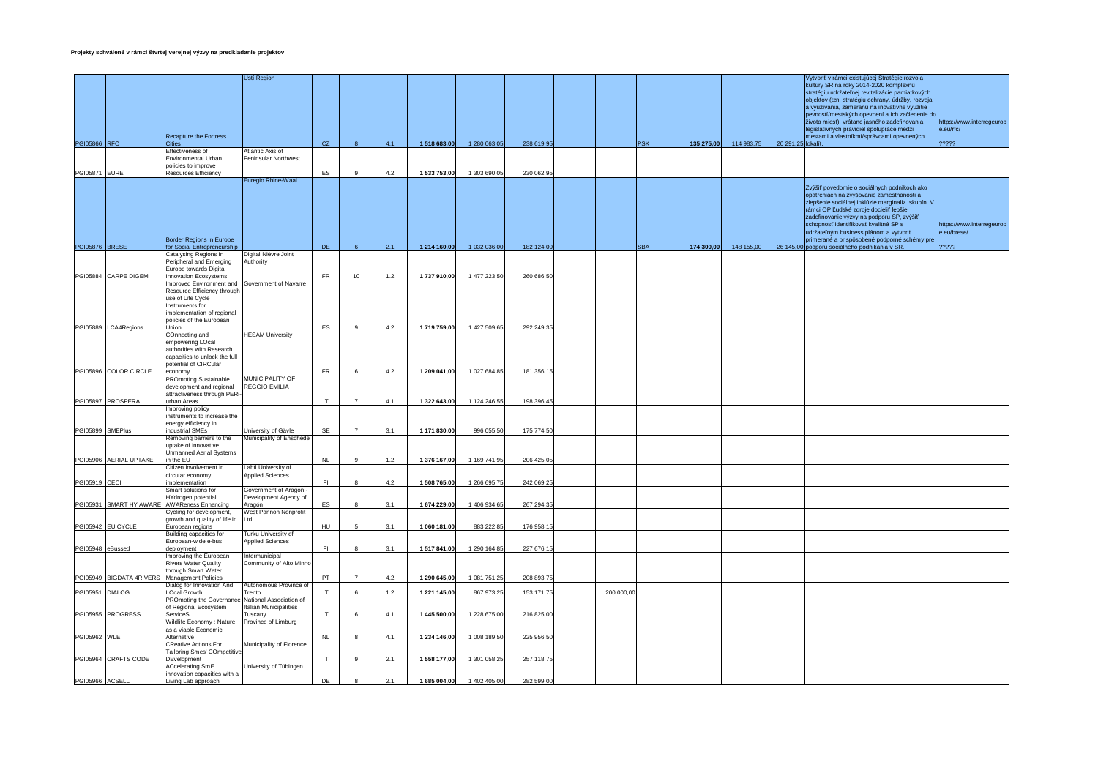|                      |                        |                                                                                                                                                                    | Ústí Region                                              |            |                |       |              |              |            |            |            |            |            |                    | Vytvoriť v rámci existujúcej Stratégie rozvoja<br>kultúry SR na roky 2014-2020 komplexnú<br>stratégiu udržateľnej revitalizácie pamiatkových<br>objektov (tzn. stratégiu ochrany, údržby, rozvoja<br>a využívania, zameranú na inovatívne využitie<br>pevností/mestských opevnení a ich začlenenie do<br>života miest), vrátane jasného zadefinovania<br>legislatívnych pravidiel spolupráce medzi                        | https://www.interregeurop<br>e.eu/rfc/            |
|----------------------|------------------------|--------------------------------------------------------------------------------------------------------------------------------------------------------------------|----------------------------------------------------------|------------|----------------|-------|--------------|--------------|------------|------------|------------|------------|------------|--------------------|---------------------------------------------------------------------------------------------------------------------------------------------------------------------------------------------------------------------------------------------------------------------------------------------------------------------------------------------------------------------------------------------------------------------------|---------------------------------------------------|
| <b>PGI05866 RFC</b>  |                        | Recapture the Fortress<br>Citie:                                                                                                                                   |                                                          | CZ.        | $\mathbf{8}$   | 4.1   | 1 518 683,00 | 1 280 063,05 | 238 619,95 |            | <b>PSK</b> | 135 275,00 | 114 983,75 | 20 291,25 lokalít. | mestami a vlastníkmi/správcami opevnených                                                                                                                                                                                                                                                                                                                                                                                 | ?????                                             |
|                      |                        | Effectiveness of                                                                                                                                                   | Atlantic Axis of                                         |            |                |       |              |              |            |            |            |            |            |                    |                                                                                                                                                                                                                                                                                                                                                                                                                           |                                                   |
| <b>PGI05871 EURE</b> |                        | Environmental Urban<br>policies to improve<br>Resources Efficiency                                                                                                 | Peninsular Northwest                                     | ES         | 9              | 4.2   | 1 533 753,00 | 1 303 690,05 | 230 062.95 |            |            |            |            |                    |                                                                                                                                                                                                                                                                                                                                                                                                                           |                                                   |
|                      |                        |                                                                                                                                                                    | Euregio Rhine-Waal                                       |            |                |       |              |              |            |            |            |            |            |                    |                                                                                                                                                                                                                                                                                                                                                                                                                           |                                                   |
| PGI05876 BRESE       |                        | <b>Border Regions in Europe</b><br>for Social Entrepreneurship<br>Catalysing Regions in                                                                            | Digital Nièvre Joint                                     | <b>DE</b>  | 6              | 2.1   | 1 214 160,00 | 1 032 036,00 | 182 124,00 |            | <b>SBA</b> | 174 300,00 | 148 155,00 |                    | Zvýšiť povedomie o sociálnych podnikoch ako<br>opatreniach na zvyšovanie zamestnanosti a<br>zlepšenie sociálnej inklúzie marginaliz. skupín. V<br>rámci OP Ľudské zdroje docieliť lepšie<br>zadefinovanie výzvy na podporu SP, zvýšiť<br>schopnosť identifikovať kvalitné SP s<br>udržateľným business plánom a vytvoriť<br>primerané a prispôsobené podporné schémy pre<br>26 145,00 podporu sociálneho podnikania v SR. | https://www.interregeurop<br>e.eu/brese/<br>????? |
|                      |                        | Peripheral and Emerging                                                                                                                                            | Authority                                                |            |                |       |              |              |            |            |            |            |            |                    |                                                                                                                                                                                                                                                                                                                                                                                                                           |                                                   |
|                      | PGI05884 CARPE DIGEM   | Europe towards Digital<br><b>Innovation Ecosystems</b>                                                                                                             |                                                          | ${\sf FR}$ | 10             | 1.2   | 1737910,00   | 1 477 223,50 | 260 686,50 |            |            |            |            |                    |                                                                                                                                                                                                                                                                                                                                                                                                                           |                                                   |
|                      | PGI05889 LCA4Regions   | Improved Environment and<br>Resource Efficiency through<br>use of Life Cycle<br>Instruments for<br>implementation of regional<br>policies of the European<br>Union | Government of Navarre                                    | ES         | 9              | 4.2   | 1719759,00   | 1 427 509,65 | 292 249,35 |            |            |            |            |                    |                                                                                                                                                                                                                                                                                                                                                                                                                           |                                                   |
|                      |                        | COnnecting and                                                                                                                                                     | <b>HESAM University</b>                                  |            |                |       |              |              |            |            |            |            |            |                    |                                                                                                                                                                                                                                                                                                                                                                                                                           |                                                   |
|                      |                        | empowering LOcal<br>authorities with Research<br>capacities to unlock the full<br>potential of CIRCular                                                            |                                                          |            |                |       |              |              |            |            |            |            |            |                    |                                                                                                                                                                                                                                                                                                                                                                                                                           |                                                   |
|                      | PGI05896 COLOR CIRCLE  | economy                                                                                                                                                            | <b>MUNICIPALITY OF</b>                                   | FR         | 6              | 4.2   | 1 209 041,00 | 1 027 684,85 | 181 356,15 |            |            |            |            |                    |                                                                                                                                                                                                                                                                                                                                                                                                                           |                                                   |
|                      |                        | <b>PROmoting Sustainable</b><br>development and regional<br>attractiveness through PERi-                                                                           | <b>REGGIO EMILIA</b>                                     |            |                |       |              |              |            |            |            |            |            |                    |                                                                                                                                                                                                                                                                                                                                                                                                                           |                                                   |
|                      | PGI05897 PROSPERA      | urban Areas                                                                                                                                                        |                                                          | IT.        | $\overline{7}$ | 4.1   | 1 322 643,00 | 1 124 246,55 | 198 396,45 |            |            |            |            |                    |                                                                                                                                                                                                                                                                                                                                                                                                                           |                                                   |
|                      |                        | Improving policy<br>instruments to increase the<br>energy efficiency in                                                                                            |                                                          |            |                |       |              |              |            |            |            |            |            |                    |                                                                                                                                                                                                                                                                                                                                                                                                                           |                                                   |
| PGI05899 SMEPlus     |                        | industrial SMEs<br>Removing barriers to the                                                                                                                        | University of Gävle<br>Municipality of Enschede          | SE         | $\overline{7}$ | 3.1   | 1 171 830,00 | 996 055,50   | 175 774,50 |            |            |            |            |                    |                                                                                                                                                                                                                                                                                                                                                                                                                           |                                                   |
|                      |                        | uptake of innovative<br>Unmanned Aerial Systems                                                                                                                    |                                                          |            |                |       |              |              |            |            |            |            |            |                    |                                                                                                                                                                                                                                                                                                                                                                                                                           |                                                   |
|                      | PGI05906 AERIAL UPTAKE | in the EU<br>Citizen involvement in                                                                                                                                | Lahti University of                                      | <b>NL</b>  | 9              | $1.2$ | 1 376 167,00 | 1 169 741,95 | 206 425,05 |            |            |            |            |                    |                                                                                                                                                                                                                                                                                                                                                                                                                           |                                                   |
|                      |                        | circular economy                                                                                                                                                   | <b>Applied Sciences</b>                                  |            |                |       |              |              |            |            |            |            |            |                    |                                                                                                                                                                                                                                                                                                                                                                                                                           |                                                   |
| PGI05919 CECI        |                        | implementation<br>Smart solutions for                                                                                                                              | Government of Aragón                                     | F1         | $\mathbf{8}$   | 4.2   | 1 508 765,00 | 1 266 695,75 | 242 069,25 |            |            |            |            |                    |                                                                                                                                                                                                                                                                                                                                                                                                                           |                                                   |
|                      |                        | HYdrogen potential<br>PGI05931 SMART HY AWARE AWAReness Enhancing<br>Cycling for development,                                                                      | Development Agency of<br>Aragón<br>West Pannon Nonprofit | ES         | 8              | 3.1   | 1 674 229,00 | 1 406 934,65 | 267 294,35 |            |            |            |            |                    |                                                                                                                                                                                                                                                                                                                                                                                                                           |                                                   |
|                      |                        | growth and quality of life in                                                                                                                                      | Ltd.                                                     |            |                |       |              |              |            |            |            |            |            |                    |                                                                                                                                                                                                                                                                                                                                                                                                                           |                                                   |
|                      | PGI05942 EU CYCLE      | European regions<br>Building capacities for                                                                                                                        | Turku University of                                      | <b>HU</b>  |                | 3.1   | 1 060 181,00 | 883 222,85   | 176 958,15 |            |            |            |            |                    |                                                                                                                                                                                                                                                                                                                                                                                                                           |                                                   |
| PGI05948 eBussed     |                        | European-wide e-bus<br>deployment                                                                                                                                  | <b>Applied Sciences</b>                                  | F1         |                | 3.1   | 1 517 841,00 | 1 290 164,85 | 227 676,15 |            |            |            |            |                    |                                                                                                                                                                                                                                                                                                                                                                                                                           |                                                   |
|                      |                        | Improving the European<br><b>Rivers Water Quality</b>                                                                                                              | Intermunicipal<br>Community of Alto Minho                |            |                |       |              |              |            |            |            |            |            |                    |                                                                                                                                                                                                                                                                                                                                                                                                                           |                                                   |
|                      |                        | through Smart Water<br>PGI05949 BIGDATA 4RIVERS Management Policies                                                                                                |                                                          | PT         | $\overline{7}$ | 4.2   | 1 290 645,00 | 1 081 751,25 | 208 893,75 |            |            |            |            |                    |                                                                                                                                                                                                                                                                                                                                                                                                                           |                                                   |
| PG105951             | <b>DIALOG</b>          | Dialog for Innovation And<br><b>LOcal Growth</b>                                                                                                                   | Autonomous Province of<br>Trento                         | IT.        | 6              | 1.2   | 1 221 145,00 | 867 973,25   | 153 171,75 | 200 000,00 |            |            |            |                    |                                                                                                                                                                                                                                                                                                                                                                                                                           |                                                   |
|                      |                        | PROmoting the Governance National Association of<br>of Regional Ecosystem                                                                                          | Italian Municipalities                                   |            |                |       |              |              |            |            |            |            |            |                    |                                                                                                                                                                                                                                                                                                                                                                                                                           |                                                   |
|                      | PGI05955 PROGRESS      | ServiceS<br>Wildlife Economy: Nature                                                                                                                               | Tuscany<br>Province of Limburg                           | IT         | 6              | 4.1   | 1 445 500,00 | 1 228 675,00 | 216 825,00 |            |            |            |            |                    |                                                                                                                                                                                                                                                                                                                                                                                                                           |                                                   |
| PGI05962 WLE         |                        | as a viable Economic<br>Alternative                                                                                                                                |                                                          | <b>NL</b>  | 8              | 4.1   | 1 234 146,00 | 1 008 189,50 | 225 956,50 |            |            |            |            |                    |                                                                                                                                                                                                                                                                                                                                                                                                                           |                                                   |
|                      | PGI05964 CRAFTS CODE   | <b>CReative Actions For</b><br><b>Tailoring Smes' COmpetitive</b><br>DEvelopment                                                                                   | Municipality of Florence                                 | IT         | $_{9}$         | 2.1   | 1 558 177,00 | 1 301 058,25 | 257 118,75 |            |            |            |            |                    |                                                                                                                                                                                                                                                                                                                                                                                                                           |                                                   |
|                      |                        | ACcelerating SmE<br>innovation capacities with a                                                                                                                   | University of Tübingen                                   |            |                |       |              |              |            |            |            |            |            |                    |                                                                                                                                                                                                                                                                                                                                                                                                                           |                                                   |
| PGI05966 ACSELL      |                        | Living Lab approach                                                                                                                                                |                                                          | DE         |                | 2.1   | 1 685 004,00 | 1 402 405,00 | 282 599,00 |            |            |            |            |                    |                                                                                                                                                                                                                                                                                                                                                                                                                           |                                                   |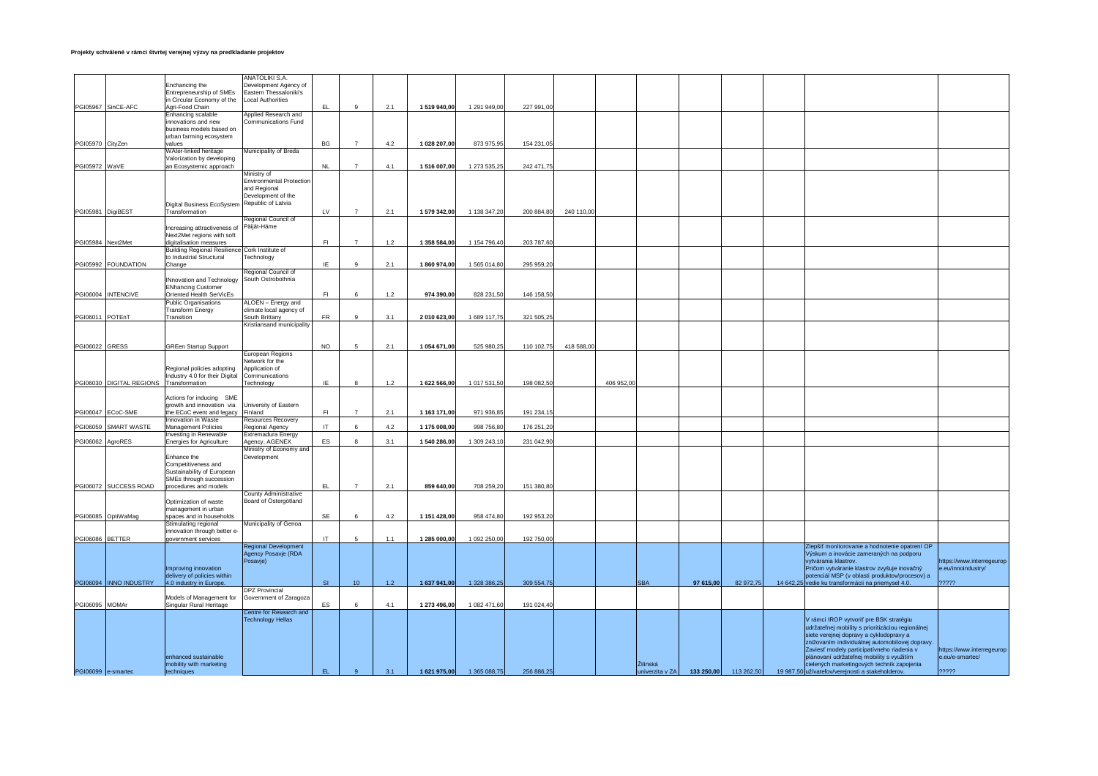|                   |                                         |                                                       | <b>ANATOLIKI S.A.</b>                               |              |                |     |              |              |            |            |            |                 |            |            |                                                                                           |                           |
|-------------------|-----------------------------------------|-------------------------------------------------------|-----------------------------------------------------|--------------|----------------|-----|--------------|--------------|------------|------------|------------|-----------------|------------|------------|-------------------------------------------------------------------------------------------|---------------------------|
|                   |                                         | Enchancing the                                        | Development Agency of                               |              |                |     |              |              |            |            |            |                 |            |            |                                                                                           |                           |
|                   |                                         | Entrepreneurship of SMEs                              | Eastern Thessaloniki's                              |              |                |     |              |              |            |            |            |                 |            |            |                                                                                           |                           |
|                   |                                         | in Circular Economy of the                            | <b>Local Authorities</b>                            |              |                |     |              |              |            |            |            |                 |            |            |                                                                                           |                           |
|                   | PGI05967 SinCE-AFC                      | Agri-Food Chain<br>Enhancing scalable                 | Applied Research and                                | EL.          | $\mathbf{q}$   | 2.1 | 1 519 940,00 | 1 291 949,00 | 227 991,00 |            |            |                 |            |            |                                                                                           |                           |
|                   |                                         | innovations and new                                   | Communications Fund                                 |              |                |     |              |              |            |            |            |                 |            |            |                                                                                           |                           |
|                   |                                         | business models based on                              |                                                     |              |                |     |              |              |            |            |            |                 |            |            |                                                                                           |                           |
|                   |                                         | urban farming ecosystem                               |                                                     |              |                |     |              |              |            |            |            |                 |            |            |                                                                                           |                           |
| PGI05970 CityZen  |                                         | values                                                |                                                     | BG           | $\overline{7}$ | 4.2 | 1 028 207,00 | 873 975,95   | 154 231,05 |            |            |                 |            |            |                                                                                           |                           |
|                   |                                         | WAter-linked heritage                                 | Municipality of Breda                               |              |                |     |              |              |            |            |            |                 |            |            |                                                                                           |                           |
|                   |                                         | Valorization by developing                            |                                                     |              |                |     |              |              |            |            |            |                 |            |            |                                                                                           |                           |
| PGI05972 WaVE     |                                         | an Ecosystemic approach                               |                                                     | <b>NL</b>    | $\overline{7}$ | 4.1 | 1 516 007,00 | 1 273 535,25 | 242 471.75 |            |            |                 |            |            |                                                                                           |                           |
|                   |                                         |                                                       | Ministry of                                         |              |                |     |              |              |            |            |            |                 |            |            |                                                                                           |                           |
|                   |                                         |                                                       | <b>Environmental Protection</b>                     |              |                |     |              |              |            |            |            |                 |            |            |                                                                                           |                           |
|                   |                                         |                                                       | and Regional<br>Development of the                  |              |                |     |              |              |            |            |            |                 |            |            |                                                                                           |                           |
|                   |                                         | Digital Business EcoSystem                            | Republic of Latvia                                  |              |                |     |              |              |            |            |            |                 |            |            |                                                                                           |                           |
| PGI05981 DigiBEST |                                         | Transformation                                        |                                                     | LV           | $\overline{7}$ | 2.1 | 1 579 342,00 | 1 138 347,20 | 200 884,80 | 240 110,00 |            |                 |            |            |                                                                                           |                           |
|                   |                                         |                                                       | Regional Council of                                 |              |                |     |              |              |            |            |            |                 |            |            |                                                                                           |                           |
|                   |                                         | Increasing attractiveness of                          | Päijät-Häme                                         |              |                |     |              |              |            |            |            |                 |            |            |                                                                                           |                           |
|                   |                                         | Next2Met regions with soft                            |                                                     |              |                |     |              |              |            |            |            |                 |            |            |                                                                                           |                           |
| PGI05984 Next2Met |                                         | digitalisation measures                               |                                                     | F1           | $\overline{7}$ | 1.2 | 1 358 584,00 | 1 154 796,40 | 203 787,60 |            |            |                 |            |            |                                                                                           |                           |
|                   |                                         | Building Regional Resilience Cork Institute of        |                                                     |              |                |     |              |              |            |            |            |                 |            |            |                                                                                           |                           |
|                   |                                         | to Industrial Structural                              | Technology                                          |              |                |     |              |              |            |            |            |                 |            |            |                                                                                           |                           |
|                   | PGI05992 FOUNDATION                     | Change                                                |                                                     | IE           | 9              | 2.1 | 1860 974,00  | 1565014,80   | 295 959,20 |            |            |                 |            |            |                                                                                           |                           |
|                   |                                         |                                                       | Regional Council of                                 |              |                |     |              |              |            |            |            |                 |            |            |                                                                                           |                           |
|                   |                                         | INnovation and Technology                             | South Ostrobothnia                                  |              |                |     |              |              |            |            |            |                 |            |            |                                                                                           |                           |
|                   | PGI06004 INTENCIVE                      | <b>ENhancing Customer</b><br>Orlented Health SerVicEs |                                                     | F1           | 6              | 1.2 | 974 390,00   | 828 231,50   | 146 158,50 |            |            |                 |            |            |                                                                                           |                           |
|                   |                                         | <b>Public Organisations</b>                           | ALOEN - Energy and                                  |              |                |     |              |              |            |            |            |                 |            |            |                                                                                           |                           |
|                   |                                         | <b>Transform Energy</b>                               | climate local agency of                             |              |                |     |              |              |            |            |            |                 |            |            |                                                                                           |                           |
| PGI06011 POTEnT   |                                         | Transition                                            | South Brittany                                      | ${\sf FR}$   | $\mathfrak{g}$ | 3.1 | 2 010 623,00 | 1 689 117,75 | 321 505,25 |            |            |                 |            |            |                                                                                           |                           |
|                   |                                         |                                                       | Kristiansand municipality                           |              |                |     |              |              |            |            |            |                 |            |            |                                                                                           |                           |
|                   |                                         |                                                       |                                                     |              |                |     |              |              |            |            |            |                 |            |            |                                                                                           |                           |
|                   |                                         |                                                       |                                                     |              |                |     |              |              |            |            |            |                 |            |            |                                                                                           |                           |
| PGI06022 GRESS    |                                         | <b>GREen Startup Support</b>                          |                                                     | <b>NO</b>    | 5              | 2.1 | 1 054 671,00 | 525 980,25   | 110 102,75 | 418 588,00 |            |                 |            |            |                                                                                           |                           |
|                   |                                         |                                                       | European Regions<br>Network for the                 |              |                |     |              |              |            |            |            |                 |            |            |                                                                                           |                           |
|                   |                                         | Regional policies adopting                            | Application of                                      |              |                |     |              |              |            |            |            |                 |            |            |                                                                                           |                           |
|                   |                                         | Industry 4.0 for their Digital                        | Communications                                      |              |                |     |              |              |            |            |            |                 |            |            |                                                                                           |                           |
|                   | PGI06030 DIGITAL REGIONS Transformation |                                                       | Technology                                          | IE           | 8              | 1.2 | 1 622 566,00 | 1 017 531,50 | 198 082,50 |            | 406 952,00 |                 |            |            |                                                                                           |                           |
|                   |                                         |                                                       |                                                     |              |                |     |              |              |            |            |            |                 |            |            |                                                                                           |                           |
|                   |                                         | Actions for inducing SME                              |                                                     |              |                |     |              |              |            |            |            |                 |            |            |                                                                                           |                           |
|                   |                                         | growth and innovation via                             | University of Eastern                               | F1           | $\overline{7}$ |     |              |              |            |            |            |                 |            |            |                                                                                           |                           |
|                   | PGI06047 ECoC-SME                       | the ECoC event and legacy<br>Innovation in Waste      | Finland<br>Resources Recovery                       |              |                | 2.1 | 1 163 171,00 | 971 936,85   | 191 234,15 |            |            |                 |            |            |                                                                                           |                           |
|                   | PGI06059 SMART WASTE                    | Management Policies                                   | Regional Agency                                     | $\mathsf{I}$ |                | 4.2 | 1 175 008,00 | 998 756,80   | 176 251,20 |            |            |                 |            |            |                                                                                           |                           |
|                   |                                         | Investing in Renewable                                | Extremadura Energy                                  |              |                |     |              |              |            |            |            |                 |            |            |                                                                                           |                           |
| PGI06062 AgroRES  |                                         | Energies for Agriculture                              | Agency, AGENEX                                      | ES           | 8              | 3.1 | 1 540 286,00 | 1 309 243,10 | 231 042,90 |            |            |                 |            |            |                                                                                           |                           |
|                   |                                         |                                                       | Ministry of Economy and                             |              |                |     |              |              |            |            |            |                 |            |            |                                                                                           |                           |
|                   |                                         | <b>Enhance the</b>                                    | Development                                         |              |                |     |              |              |            |            |            |                 |            |            |                                                                                           |                           |
|                   |                                         | Competitiveness and                                   |                                                     |              |                |     |              |              |            |            |            |                 |            |            |                                                                                           |                           |
|                   |                                         | Sustainability of European                            |                                                     |              |                |     |              |              |            |            |            |                 |            |            |                                                                                           |                           |
|                   | PGI06072 SUCCESS ROAD                   | SMEs through succession<br>procedures and models      |                                                     | EL.          | $\overline{7}$ | 2.1 | 859 640,00   | 708 259,20   | 151 380,80 |            |            |                 |            |            |                                                                                           |                           |
|                   |                                         |                                                       | County Administrative                               |              |                |     |              |              |            |            |            |                 |            |            |                                                                                           |                           |
|                   |                                         | Optimization of waste                                 | Board of Östergötland                               |              |                |     |              |              |            |            |            |                 |            |            |                                                                                           |                           |
|                   |                                         | management in urban                                   |                                                     |              |                |     |              |              |            |            |            |                 |            |            |                                                                                           |                           |
|                   | PG106085 OptiWaMag                      | spaces and in households                              |                                                     | SE           | 6              | 4.2 | 1 151 428,00 | 958 474,80   | 192 953,20 |            |            |                 |            |            |                                                                                           |                           |
|                   |                                         | Stimulating regional                                  | Municipality of Genoa                               |              |                |     |              |              |            |            |            |                 |            |            |                                                                                           |                           |
|                   |                                         | nnovation through better e-                           |                                                     |              |                |     |              |              |            |            |            |                 |            |            |                                                                                           |                           |
| PGI06086 BETTER   |                                         | government services                                   |                                                     | IT           | -5             | 1.1 | 1 285 000,00 | 1 092 250,00 | 192 750,00 |            |            |                 |            |            |                                                                                           |                           |
|                   |                                         |                                                       | <b>Regional Development</b>                         |              |                |     |              |              |            |            |            |                 |            |            | Zlepšiť monitorovanie a hodnotenie opatrení OP<br>Výskum a inovácie zameraných na podporu |                           |
|                   |                                         |                                                       | Agency Posavje (RDA<br>Posavje)                     |              |                |     |              |              |            |            |            |                 |            |            | vytvárania klastrov.                                                                      | https://www.interregeurop |
|                   |                                         | Improving innovation                                  |                                                     |              |                |     |              |              |            |            |            |                 |            |            | Pričom vytváranie klastrov zvyšuje inovačný                                               | e.eu/innoindustry/        |
|                   |                                         | delivery of policies within                           |                                                     |              |                |     |              |              |            |            |            |                 |            |            | potenciál MSP (v oblasti produktov/procesov) a                                            |                           |
|                   | PGI06094  INNO INDUSTRY                 | 4.0 industry in Europe.                               |                                                     | <b>SI</b>    | 10             | 1.2 | 1 637 941.00 | 1 328 386,25 | 309 554,75 |            |            | <b>SBA</b>      | 97 615.00  | 82 972,75  | 14 642,25 vedie ku transformácii na priemysel 4.0.                                        | 22222                     |
|                   |                                         |                                                       | <b>DPZ</b> Provincial                               |              |                |     |              |              |            |            |            |                 |            |            |                                                                                           |                           |
|                   |                                         | Models of Management for                              | Government of Zaragoza                              |              |                |     |              |              |            |            |            |                 |            |            |                                                                                           |                           |
| PGI06095 MOMAr    |                                         | Singular Rural Heritage                               |                                                     | ES           | 6              | 4.1 | 1 273 496,00 | 1 082 471,60 | 191 024,40 |            |            |                 |            |            |                                                                                           |                           |
|                   |                                         |                                                       | Centre for Research and<br><b>Technology Hellas</b> |              |                |     |              |              |            |            |            |                 |            |            | V rámci IROP vytvoriť pre BSK stratégiu                                                   |                           |
|                   |                                         |                                                       |                                                     |              |                |     |              |              |            |            |            |                 |            |            | udržateľnej mobility s prioritizáciou regionálnej                                         |                           |
|                   |                                         |                                                       |                                                     |              |                |     |              |              |            |            |            |                 |            |            | siete verejnej dopravy a cyklodopravy a                                                   |                           |
|                   |                                         |                                                       |                                                     |              |                |     |              |              |            |            |            |                 |            |            | znižovaním individuálnej automobilovej dopravy.                                           |                           |
|                   |                                         |                                                       |                                                     |              |                |     |              |              |            |            |            |                 |            |            | Zaviesť modely participatívneho riadenia v                                                | https://www.interregeurop |
|                   |                                         | enhanced sustainable                                  |                                                     |              |                |     |              |              |            |            |            |                 |            |            | plánovaní udržateľnej mobility s využitím                                                 | e.eu/e-smartec/           |
|                   |                                         | mobility with marketing                               |                                                     |              |                |     |              |              |            |            |            | Žilinská        |            |            | cielených marketingových techník zapojenia                                                |                           |
|                   | PGI06099 e-smartec                      | techniques                                            |                                                     | EL.          | 9              | 3.1 | 1 621 975,00 | 1 365 088,75 | 256 886,25 |            |            | univerzita v ZA | 133 250,00 | 113 262,50 | 19 987,50 užívateľov/verejnosti a stakeholderov.                                          | ?????                     |